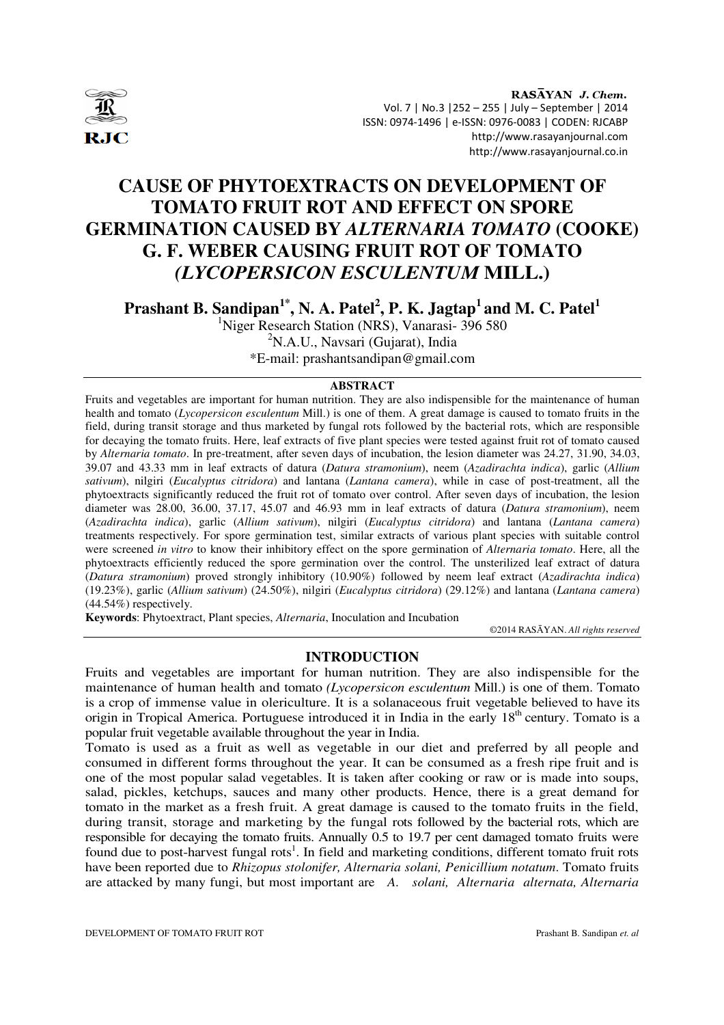

RASAYAN J. Chem. Vol. 7 | No.3 |252 – 255 | July – September | 2014 ISSN: 0974-1496 | e-ISSN: 0976-0083 | CODEN: RJCABP http://www.rasayanjournal.com http://www.rasayanjournal.co.in

# **CAUSE OF PHYTOEXTRACTS ON DEVELOPMENT OF TOMATO FRUIT ROT AND EFFECT ON SPORE GERMINATION CAUSED BY** *ALTERNARIA TOMATO* **(COOKE) G. F. WEBER CAUSING FRUIT ROT OF TOMATO**  *(LYCOPERSICON ESCULENTUM* **MILL.)**

**Prashant B. Sandipan1\*, N. A. Patel<sup>2</sup> , P. K. Jagtap<sup>1</sup>and M. C. Patel<sup>1</sup>**

<sup>1</sup>Niger Research Station (NRS), Vanarasi- 396 580  $2N.A.U., Navsari (Gujarat), India$ \*E-mail: prashantsandipan@gmail.com

# **ABSTRACT**

Fruits and vegetables are important for human nutrition. They are also indispensible for the maintenance of human health and tomato (*Lycopersicon esculentum* Mill.) is one of them. A great damage is caused to tomato fruits in the field, during transit storage and thus marketed by fungal rots followed by the bacterial rots, which are responsible for decaying the tomato fruits. Here, leaf extracts of five plant species were tested against fruit rot of tomato caused by *Alternaria tomato*. In pre-treatment, after seven days of incubation, the lesion diameter was 24.27, 31.90, 34.03, 39.07 and 43.33 mm in leaf extracts of datura (*Datura stramonium*), neem (*Azadirachta indica*), garlic (*Allium sativum*), nilgiri (*Eucalyptus citridora*) and lantana (*Lantana camera*), while in case of post-treatment, all the phytoextracts significantly reduced the fruit rot of tomato over control. After seven days of incubation, the lesion diameter was 28.00, 36.00, 37.17, 45.07 and 46.93 mm in leaf extracts of datura (*Datura stramonium*), neem (*Azadirachta indica*), garlic (*Allium sativum*), nilgiri (*Eucalyptus citridora*) and lantana (*Lantana camera*) treatments respectively. For spore germination test, similar extracts of various plant species with suitable control were screened *in vitro* to know their inhibitory effect on the spore germination of *Alternaria tomato*. Here, all the phytoextracts efficiently reduced the spore germination over the control. The unsterilized leaf extract of datura (*Datura stramonium*) proved strongly inhibitory (10.90%) followed by neem leaf extract (*Azadirachta indica*) (19.23%), garlic (*Allium sativum*) (24.50%), nilgiri (*Eucalyptus citridora*) (29.12%) and lantana (*Lantana camera*) (44.54%) respectively.

**Keywords**: Phytoextract, Plant species, *Alternaria*, Inoculation and Incubation

©2014 RASĀYAN. *All rights reserved*

# **INTRODUCTION**

Fruits and vegetables are important for human nutrition. They are also indispensible for the maintenance of human health and tomato *(Lycopersicon esculentum* Mill.) is one of them. Tomato is a crop of immense value in olericulture. It is a solanaceous fruit vegetable believed to have its origin in Tropical America. Portuguese introduced it in India in the early  $18<sup>th</sup>$  century. Tomato is a popular fruit vegetable available throughout the year in India.

Tomato is used as a fruit as well as vegetable in our diet and preferred by all people and consumed in different forms throughout the year. It can be consumed as a fresh ripe fruit and is one of the most popular salad vegetables. It is taken after cooking or raw or is made into soups, salad, pickles, ketchups, sauces and many other products. Hence, there is a great demand for tomato in the market as a fresh fruit. A great damage is caused to the tomato fruits in the field, during transit, storage and marketing by the fungal rots followed by the bacterial rots, which are responsible for decaying the tomato fruits. Annually 0.5 to 19.7 per cent damaged tomato fruits were found due to post-harvest fungal rots<sup>1</sup>. In field and marketing conditions, different tomato fruit rots have been reported due to *Rhizopus stolonifer, Alternaria solani, Penicillium notatum*. Tomato fruits are attacked by many fungi, but most important are *A. solani, Alternaria alternata, Alternaria* 

DEVELOPMENT OF TOMATO FRUIT ROT Prashant B. Sandipan *et. al*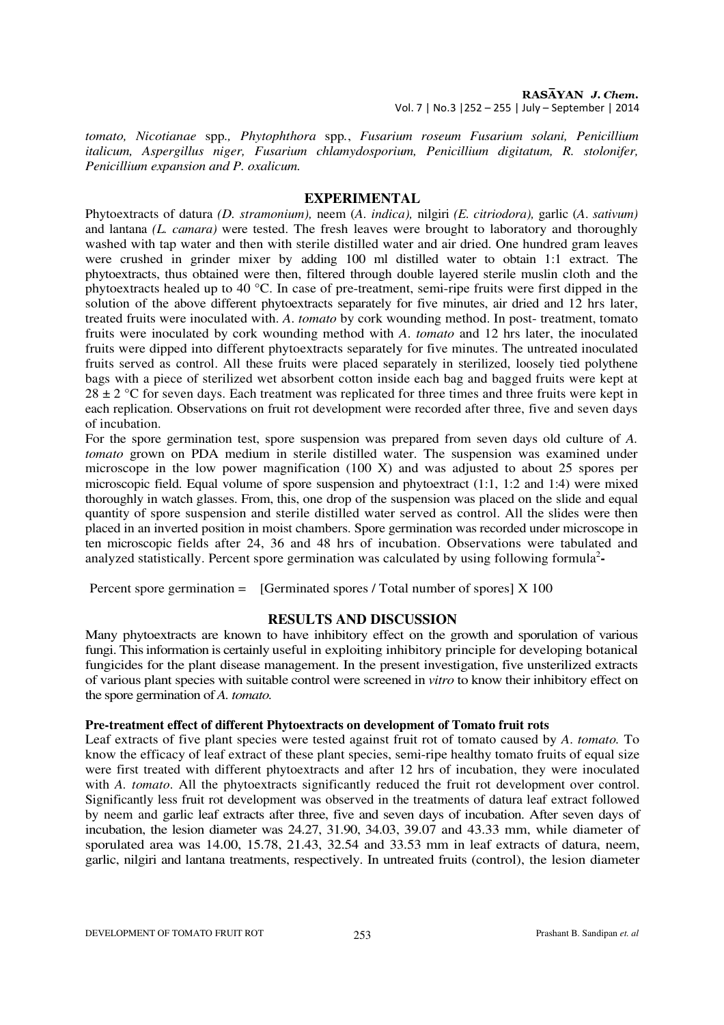RASAYAN J. Chem. Vol. 7 | No.3 |252 – 255 | July – September | 2014

*tomato, Nicotianae* spp*., Phytophthora* spp*.*, *Fusarium roseum Fusarium solani, Penicillium italicum, Aspergillus niger, Fusarium chlamydosporium, Penicillium digitatum, R. stolonifer, Penicillium expansion and P. oxalicum.* 

#### **EXPERIMENTAL**

Phytoextracts of datura *(D. stramonium),* neem (*A. indica),* nilgiri *(E. citriodora),* garlic (*A*. *sativum)*  and lantana *(L. camara)* were tested. The fresh leaves were brought to laboratory and thoroughly washed with tap water and then with sterile distilled water and air dried. One hundred gram leaves were crushed in grinder mixer by adding 100 ml distilled water to obtain 1:1 extract. The phytoextracts, thus obtained were then, filtered through double layered sterile muslin cloth and the phytoextracts healed up to 40 °C. In case of pre-treatment, semi-ripe fruits were first dipped in the solution of the above different phytoextracts separately for five minutes, air dried and 12 hrs later, treated fruits were inoculated with. *A*. *tomato* by cork wounding method. In post- treatment, tomato fruits were inoculated by cork wounding method with *A*. *tomato* and 12 hrs later, the inoculated fruits were dipped into different phytoextracts separately for five minutes. The untreated inoculated fruits served as control. All these fruits were placed separately in sterilized, loosely tied polythene bags with a piece of sterilized wet absorbent cotton inside each bag and bagged fruits were kept at  $28 \pm 2$  °C for seven days. Each treatment was replicated for three times and three fruits were kept in each replication. Observations on fruit rot development were recorded after three, five and seven days of incubation.

For the spore germination test, spore suspension was prepared from seven days old culture of *A. tomato* grown on PDA medium in sterile distilled water. The suspension was examined under microscope in the low power magnification (100 X) and was adjusted to about 25 spores per microscopic field. Equal volume of spore suspension and phytoextract (1:1, 1:2 and 1:4) were mixed thoroughly in watch glasses. From, this, one drop of the suspension was placed on the slide and equal quantity of spore suspension and sterile distilled water served as control. All the slides were then placed in an inverted position in moist chambers. Spore germination was recorded under microscope in ten microscopic fields after 24, 36 and 48 hrs of incubation. Observations were tabulated and analyzed statistically. Percent spore germination was calculated by using following formula<sup>2</sup>-

Percent spore germination  $=$  [Germinated spores / Total number of spores  $\vert$  X 100

# **RESULTS AND DISCUSSION**

Many phytoextracts are known to have inhibitory effect on the growth and sporulation of various fungi. This information is certainly useful in exploiting inhibitory principle for developing botanical fungicides for the plant disease management. In the present investigation, five unsterilized extracts of various plant species with suitable control were screened in *vitro* to know their inhibitory effect on the spore germination of *A. tomato.* 

#### **Pre-treatment effect of different Phytoextracts on development of Tomato fruit rots**

Leaf extracts of five plant species were tested against fruit rot of tomato caused by *A*. *tomato.* To know the efficacy of leaf extract of these plant species, semi-ripe healthy tomato fruits of equal size were first treated with different phytoextracts and after 12 hrs of incubation, they were inoculated with *A. tomato*. All the phytoextracts significantly reduced the fruit rot development over control. Significantly less fruit rot development was observed in the treatments of datura leaf extract followed by neem and garlic leaf extracts after three, five and seven days of incubation. After seven days of incubation, the lesion diameter was 24.27, 31.90, 34.03, 39.07 and 43.33 mm, while diameter of sporulated area was 14.00, 15.78, 21.43, 32.54 and 33.53 mm in leaf extracts of datura, neem, garlic, nilgiri and lantana treatments, respectively. In untreated fruits (control), the lesion diameter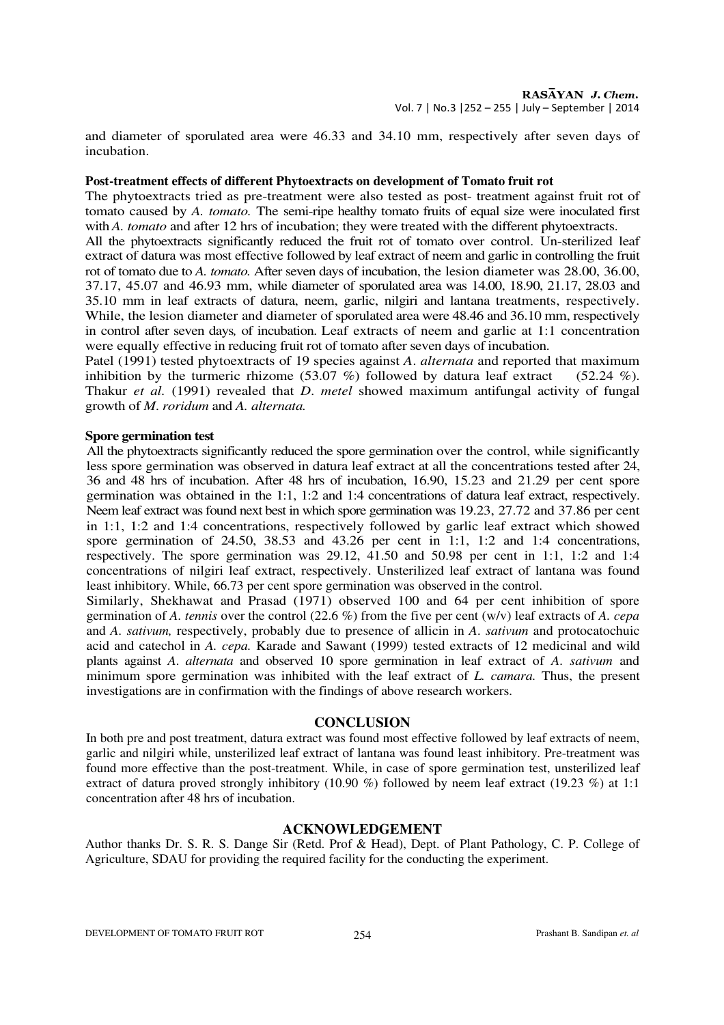and diameter of sporulated area were 46.33 and 34.10 mm, respectively after seven days of incubation.

# **Post-treatment effects of different Phytoextracts on development of Tomato fruit rot**

The phytoextracts tried as pre-treatment were also tested as post- treatment against fruit rot of tomato caused by *A. tomato.* The semi-ripe healthy tomato fruits of equal size were inoculated first with *A. tomato* and after 12 hrs of incubation; they were treated with the different phytoextracts.

All the phytoextracts significantly reduced the fruit rot of tomato over control. Un-sterilized leaf extract of datura was most effective followed by leaf extract of neem and garlic in controlling the fruit rot of tomato due to *A. tomato.* After seven days of incubation, the lesion diameter was 28.00, 36.00, 37.17, 45.07 and 46.93 mm, while diameter of sporulated area was 14.00, 18.90, 21.17, 28.03 and 35.10 mm in leaf extracts of datura, neem, garlic, nilgiri and lantana treatments, respectively. While, the lesion diameter and diameter of sporulated area were 48.46 and 36.10 mm, respectively in control after seven days*,* of incubation. Leaf extracts of neem and garlic at 1:1 concentration were equally effective in reducing fruit rot of tomato after seven days of incubation.

Patel (1991) tested phytoextracts of 19 species against *A*. *alternata* and reported that maximum inhibition by the turmeric rhizome (53.07 %) followed by datura leaf extract (52.24 %). Thakur *et al.* (1991) revealed that *D*. *metel* showed maximum antifungal activity of fungal growth of *M*. *roridum* and *A. alternata.*

#### **Spore germination test**

All the phytoextracts significantly reduced the spore germination over the control, while significantly less spore germination was observed in datura leaf extract at all the concentrations tested after 24, 36 and 48 hrs of incubation. After 48 hrs of incubation, 16.90, 15.23 and 21.29 per cent spore germination was obtained in the 1:1, 1:2 and 1:4 concentrations of datura leaf extract, respectively. Neem leaf extract was found next best in which spore germination was 19.23, 27.72 and 37.86 per cent in 1:1, 1:2 and 1:4 concentrations, respectively followed by garlic leaf extract which showed spore germination of 24.50, 38.53 and 43.26 per cent in 1:1, 1:2 and 1:4 concentrations, respectively. The spore germination was 29.12, 41.50 and 50.98 per cent in 1:1, 1:2 and 1:4 concentrations of nilgiri leaf extract, respectively. Unsterilized leaf extract of lantana was found least inhibitory. While, 66.73 per cent spore germination was observed in the control.

Similarly, Shekhawat and Prasad (1971) observed 100 and 64 per cent inhibition of spore germination of *A. tennis* over the control (22.6 %) from the five per cent (w/v) leaf extracts of *A. cepa*  and *A. sativum,* respectively, probably due to presence of allicin in *A*. *sativum* and protocatochuic acid and catechol in *A. cepa.* Karade and Sawant (1999) tested extracts of 12 medicinal and wild plants against *A*. *alternata* and observed 10 spore germination in leaf extract of *A*. *sativum* and minimum spore germination was inhibited with the leaf extract of *L. camara.* Thus, the present investigations are in confirmation with the findings of above research workers.

#### **CONCLUSION**

In both pre and post treatment, datura extract was found most effective followed by leaf extracts of neem, garlic and nilgiri while, unsterilized leaf extract of lantana was found least inhibitory. Pre-treatment was found more effective than the post-treatment. While, in case of spore germination test, unsterilized leaf extract of datura proved strongly inhibitory (10.90 %) followed by neem leaf extract (19.23 %) at 1:1 concentration after 48 hrs of incubation.

# **ACKNOWLEDGEMENT**

Author thanks Dr. S. R. S. Dange Sir (Retd. Prof & Head), Dept. of Plant Pathology, C. P. College of Agriculture, SDAU for providing the required facility for the conducting the experiment.